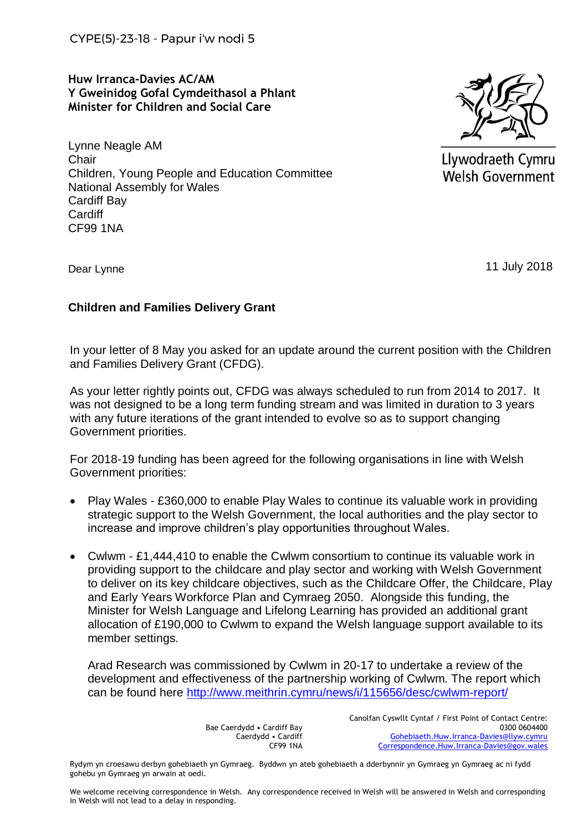CYPE(5)-23-18 - Papur i'w nodi 5

**Huw Irranca-Davies AC/AM Y Gweinidog Gofal Cymdeithasol a Phlant Minister for Children and Social Care**

Lynne Neagle AM **Chair** Children, Young People and Education Committee National Assembly for Wales Cardiff Bay Cardiff CF99 1NA



Llywodraeth Cymru **Welsh Government** 

Dear Lynne

11 July 2018

## **Children and Families Delivery Grant**

In your letter of 8 May you asked for an update around the current position with the Children and Families Delivery Grant (CFDG).

As your letter rightly points out, CFDG was always scheduled to run from 2014 to 2017. It was not designed to be a long term funding stream and was limited in duration to 3 years with any future iterations of the grant intended to evolve so as to support changing Government priorities.

For 2018-19 funding has been agreed for the following organisations in line with Welsh Government priorities:

- Play Wales £360,000 to enable Play Wales to continue its valuable work in providing strategic support to the Welsh Government, the local authorities and the play sector to increase and improve children's play opportunities throughout Wales.
- Cwlwm £1,444,410 to enable the Cwlwm consortium to continue its valuable work in providing support to the childcare and play sector and working with Welsh Government to deliver on its key childcare objectives, such as the Childcare Offer, the Childcare, Play and Early Years Workforce Plan and Cymraeg 2050. Alongside this funding, the Minister for Welsh Language and Lifelong Learning has provided an additional grant allocation of £190,000 to Cwlwm to expand the Welsh language support available to its member settings.

Arad Research was commissioned by Cwlwm in 20-17 to undertake a review of the development and effectiveness of the partnership working of Cwlwm. The report which can be found here<http://www.meithrin.cymru/news/i/115656/desc/cwlwm-report/>

> Bae Caerdydd • Cardiff Bay Caerdydd • Cardiff CF99 1NA

Canolfan Cyswllt Cyntaf / First Point of Contact Centre: 0300 0604400 [Gohebiaeth.Huw.Irranca-Davies@llyw.cymru](mailto:Gohebiaeth.Huw.Irranca-Davies@llyw.cymru) [Correspondence.Huw.Irranca-Davies@gov.wales](mailto:Correspondence.Huw.Irranca-Davies@gov.wales)

Rydym yn croesawu derbyn gohebiaeth yn Gymraeg. Byddwn yn ateb gohebiaeth a dderbynnir yn Gymraeg yn Gymraeg ac ni fydd gohebu yn Gymraeg yn arwain at oedi.

We welcome receiving correspondence in Welsh. Any correspondence received in Welsh will be answered in Welsh and corresponding in Welsh will not lead to a delay in responding.